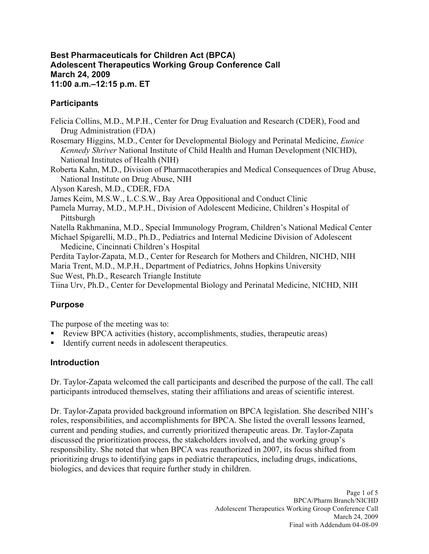#### **Best Pharmaceuticals for Children Act (BPCA) Adolescent Therapeutics Working Group Conference Call March 24, 2009 11:00 a.m.–12:15 p.m. ET**

## **Participants**

Felicia Collins, M.D., M.P.H., Center for Drug Evaluation and Research (CDER), Food and Drug Administration (FDA) Rosemary Higgins, M.D., Center for Developmental Biology and Perinatal Medicine, *Eunice Kennedy Shriver* National Institute of Child Health and Human Development (NICHD),

National Institutes of Health (NIH) Roberta Kahn, M.D., Division of Pharmacotherapies and Medical Consequences of Drug Abuse,

National Institute on Drug Abuse, NIH

Alyson Karesh, M.D., CDER, FDA

James Keim, M.S.W., L.C.S.W., Bay Area Oppositional and Conduct Clinic

Pamela Murray, M.D., M.P.H., Division of Adolescent Medicine, Children's Hospital of **Pittsburgh** 

Natella Rakhmanina, M.D., Special Immunology Program, Children's National Medical Center

Michael Spigarelli, M.D., Ph.D., Pediatrics and Internal Medicine Division of Adolescent Medicine, Cincinnati Children's Hospital

Perdita Taylor-Zapata, M.D., Center for Research for Mothers and Children, NICHD, NIH Maria Trent, M.D., M.P.H., Department of Pediatrics, Johns Hopkins University

Sue West, Ph.D., Research Triangle Institute

Tiina Urv, Ph.D., Center for Developmental Biology and Perinatal Medicine, NICHD, NIH

# **Purpose**

The purpose of the meeting was to:

- Review BPCA activities (history, accomplishments, studies, therapeutic areas)
- Identify current needs in adolescent therapeutics.

## **Introduction**

Dr. Taylor-Zapata welcomed the call participants and described the purpose of the call. The call participants introduced themselves, stating their affiliations and areas of scientific interest.

Dr. Taylor-Zapata provided background information on BPCA legislation. She described NIH's roles, responsibilities, and accomplishments for BPCA. She listed the overall lessons learned, current and pending studies, and currently prioritized therapeutic areas. Dr. Taylor-Zapata discussed the prioritization process, the stakeholders involved, and the working group's responsibility. She noted that when BPCA was reauthorized in 2007, its focus shifted from prioritizing drugs to identifying gaps in pediatric therapeutics, including drugs, indications, biologics, and devices that require further study in children.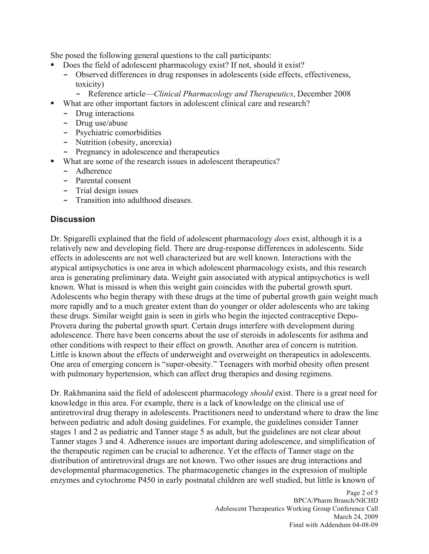She posed the following general questions to the call participants:

- Does the field of adolescent pharmacology exist? If not, should it exist?
	- **-** Observed differences in drug responses in adolescents (side effects, effectiveness, toxicity)
		- **-** Reference article—*Clinical Pharmacology and Therapeutics*, December 2008
- What are other important factors in adolescent clinical care and research?
	- **-** Drug interactions
	- **-** Drug use/abuse
	- **-** Psychiatric comorbidities
	- **-** Nutrition (obesity, anorexia)
	- **-** Pregnancy in adolescence and therapeutics
- What are some of the research issues in adolescent therapeutics?
	- **-** Adherence
	- **-** Parental consent
	- **-** Trial design issues
	- **-** Transition into adulthood diseases.

#### **Discussion**

Dr. Spigarelli explained that the field of adolescent pharmacology *does* exist, although it is a relatively new and developing field. There are drug-response differences in adolescents. Side effects in adolescents are not well characterized but are well known. Interactions with the atypical antipsychotics is one area in which adolescent pharmacology exists, and this research area is generating preliminary data. Weight gain associated with atypical antipsychotics is well known. What is missed is when this weight gain coincides with the pubertal growth spurt. Adolescents who begin therapy with these drugs at the time of pubertal growth gain weight much more rapidly and to a much greater extent than do younger or older adolescents who are taking these drugs. Similar weight gain is seen in girls who begin the injected contraceptive Depo-Provera during the pubertal growth spurt. Certain drugs interfere with development during adolescence. There have been concerns about the use of steroids in adolescents for asthma and other conditions with respect to their effect on growth. Another area of concern is nutrition. Little is known about the effects of underweight and overweight on therapeutics in adolescents. One area of emerging concern is "super-obesity." Teenagers with morbid obesity often present with pulmonary hypertension, which can affect drug therapies and dosing regimens.

Dr. Rakhmanina said the field of adolescent pharmacology *should* exist. There is a great need for knowledge in this area. For example, there is a lack of knowledge on the clinical use of antiretroviral drug therapy in adolescents. Practitioners need to understand where to draw the line between pediatric and adult dosing guidelines. For example, the guidelines consider Tanner stages 1 and 2 as pediatric and Tanner stage 5 as adult, but the guidelines are not clear about Tanner stages 3 and 4. Adherence issues are important during adolescence, and simplification of the therapeutic regimen can be crucial to adherence. Yet the effects of Tanner stage on the distribution of antiretroviral drugs are not known. Two other issues are drug interactions and developmental pharmacogenetics. The pharmacogenetic changes in the expression of multiple enzymes and cytochrome P450 in early postnatal children are well studied, but little is known of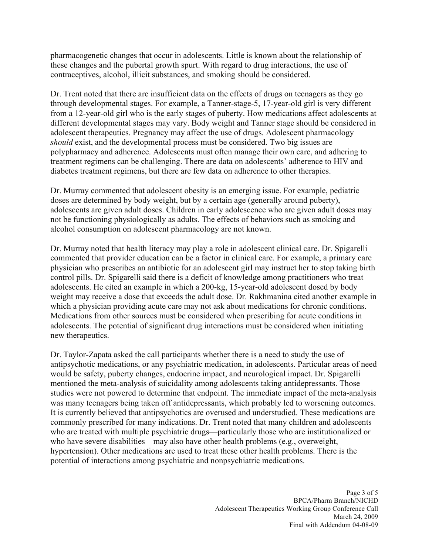pharmacogenetic changes that occur in adolescents. Little is known about the relationship of these changes and the pubertal growth spurt. With regard to drug interactions, the use of contraceptives, alcohol, illicit substances, and smoking should be considered.

Dr. Trent noted that there are insufficient data on the effects of drugs on teenagers as they go through developmental stages. For example, a Tanner-stage-5, 17-year-old girl is very different from a 12-year-old girl who is the early stages of puberty. How medications affect adolescents at different developmental stages may vary. Body weight and Tanner stage should be considered in adolescent therapeutics. Pregnancy may affect the use of drugs. Adolescent pharmacology *should* exist, and the developmental process must be considered. Two big issues are polypharmacy and adherence. Adolescents must often manage their own care, and adhering to treatment regimens can be challenging. There are data on adolescents' adherence to HIV and diabetes treatment regimens, but there are few data on adherence to other therapies.

Dr. Murray commented that adolescent obesity is an emerging issue. For example, pediatric doses are determined by body weight, but by a certain age (generally around puberty), adolescents are given adult doses. Children in early adolescence who are given adult doses may not be functioning physiologically as adults. The effects of behaviors such as smoking and alcohol consumption on adolescent pharmacology are not known.

Dr. Murray noted that health literacy may play a role in adolescent clinical care. Dr. Spigarelli commented that provider education can be a factor in clinical care. For example, a primary care physician who prescribes an antibiotic for an adolescent girl may instruct her to stop taking birth control pills. Dr. Spigarelli said there is a deficit of knowledge among practitioners who treat adolescents. He cited an example in which a 200-kg, 15-year-old adolescent dosed by body weight may receive a dose that exceeds the adult dose. Dr. Rakhmanina cited another example in which a physician providing acute care may not ask about medications for chronic conditions. Medications from other sources must be considered when prescribing for acute conditions in adolescents. The potential of significant drug interactions must be considered when initiating new therapeutics.

Dr. Taylor-Zapata asked the call participants whether there is a need to study the use of antipsychotic medications, or any psychiatric medication, in adolescents. Particular areas of need would be safety, puberty changes, endocrine impact, and neurological impact. Dr. Spigarelli mentioned the meta-analysis of suicidality among adolescents taking antidepressants. Those studies were not powered to determine that endpoint. The immediate impact of the meta-analysis was many teenagers being taken off antidepressants, which probably led to worsening outcomes. It is currently believed that antipsychotics are overused and understudied. These medications are commonly prescribed for many indications. Dr. Trent noted that many children and adolescents who are treated with multiple psychiatric drugs—particularly those who are institutionalized or who have severe disabilities—may also have other health problems (e.g., overweight, hypertension). Other medications are used to treat these other health problems. There is the potential of interactions among psychiatric and nonpsychiatric medications.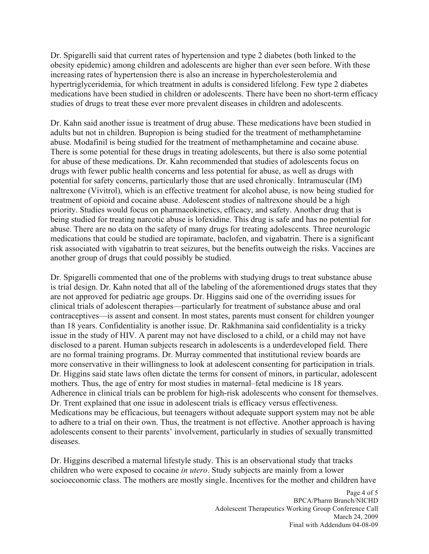Dr. Spigarelli said that current rates of hypertension and type 2 diabetes (both linked to the obesity epidemic) among children and adolescents are higher than ever seen before. With these increasing rates of hypertension there is also an increase in hypercholesterolemia and hypertriglyceridemia, for which treatment in adults is considered lifelong. Few type 2 diabetes medications have been studied in children or adolescents. There have been no short-term efficacy studies of drugs to treat these ever more prevalent diseases in children and adolescents.

Dr. Kahn said another issue is treatment of drug abuse. These medications have been studied in adults but not in children. Bupropion is being studied for the treatment of methamphetamine abuse. Modafinil is being studied for the treatment of methamphetamine and cocaine abuse. There is some potential for these drugs in treating adolescents, but there is also some potential for abuse of these medications. Dr. Kahn recommended that studies of adolescents focus on drugs with fewer public health concerns and less potential for abuse, as well as drugs with potential for safety concerns, particularly those that are used chronically. Intramuscular (IM) naltrexone (Vivitrol), which is an effective treatment for alcohol abuse, is now being studied for treatment of opioid and cocaine abuse. Adolescent studies of naltrexone should be a high priority. Studies would focus on pharmacokinetics, efficacy, and safety. Another drug that is being studied for treating narcotic abuse is lofexidine. This drug is safe and has no potential for abuse. There are no data on the safety of many drugs for treating adolescents. Three neurologic medications that could be studied are topiramate, baclofen, and vigabatrin. There is a significant risk associated with vigabatrin to treat seizures, but the benefits outweigh the risks. Vaccines are another group of drugs that could possibly be studied.

Dr. Spigarelli commented that one of the problems with studying drugs to treat substance abuse is trial design. Dr. Kahn noted that all of the labeling of the aforementioned drugs states that they are not approved for pediatric age groups. Dr. Higgins said one of the overriding issues for clinical trials of adolescent therapies—particularly for treatment of substance abuse and oral contraceptives—is assent and consent. In most states, parents must consent for children younger than 18 years. Confidentiality is another issue. Dr. Rakhmanina said confidentiality is a tricky issue in the study of HIV. A parent may not have disclosed to a child, or a child may not have disclosed to a parent. Human subjects research in adolescents is a underdeveloped field. There are no formal training programs. Dr. Murray commented that institutional review boards are more conservative in their willingness to look at adolescent consenting for participation in trials. Dr. Higgins said state laws often dictate the terms for consent of minors, in particular, adolescent mothers. Thus, the age of entry for most studies in maternal–fetal medicine is 18 years. Adherence in clinical trials can be problem for high-risk adolescents who consent for themselves. Dr. Trent explained that one issue in adolescent trials is efficacy versus effectiveness. Medications may be efficacious, but teenagers without adequate support system may not be able to adhere to a trial on their own. Thus, the treatment is not effective. Another approach is having adolescents consent to their parents' involvement, particularly in studies of sexually transmitted diseases.

Dr. Higgins described a maternal lifestyle study. This is an observational study that tracks children who were exposed to cocaine *in utero*. Study subjects are mainly from a lower socioeconomic class. The mothers are mostly single. Incentives for the mother and children have